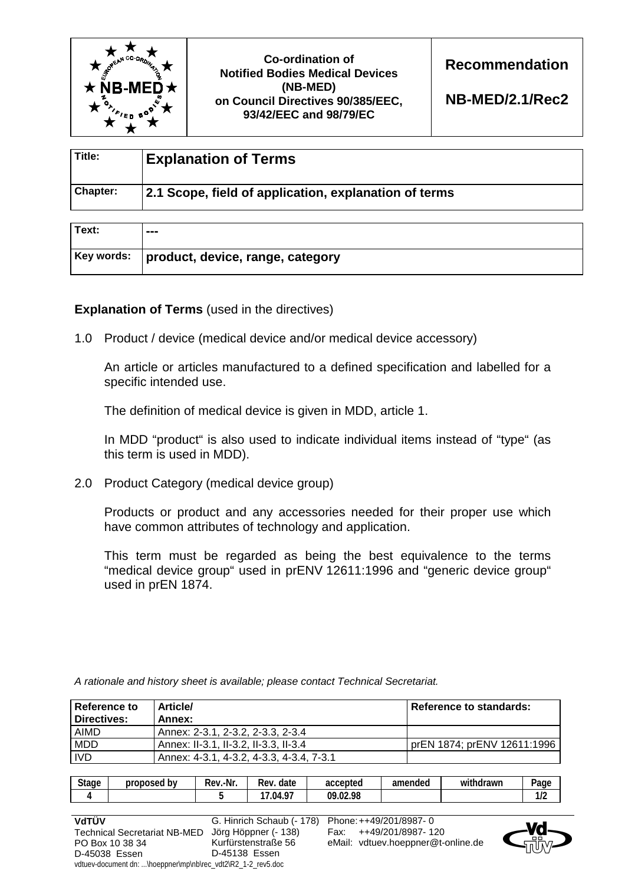

**Co-ordination of Notified Bodies Medical Devices (NB-MED) on Council Directives 90/385/EEC, 93/42/EEC and 98/79/EC** 

**Recommendation** 

**NB-MED/2.1/Rec2**

| Title:   | <b>Explanation of Terms</b>                           |
|----------|-------------------------------------------------------|
| Chapter: | 2.1 Scope, field of application, explanation of terms |

| Text: | ---                                          |
|-------|----------------------------------------------|
|       | Key words:  product, device, range, category |

**Explanation of Terms** (used in the directives)

1.0 Product / device (medical device and/or medical device accessory)

 An article or articles manufactured to a defined specification and labelled for a specific intended use.

The definition of medical device is given in MDD, article 1.

 In MDD "product" is also used to indicate individual items instead of "type" (as this term is used in MDD).

2.0 Product Category (medical device group)

 Products or product and any accessories needed for their proper use which have common attributes of technology and application.

 This term must be regarded as being the best equivalence to the terms "medical device group" used in prENV 12611:1996 and "generic device group" used in prEN 1874.

| Reference to<br>Directives: | <b>Article/</b><br>Annex:                | Reference to standards:     |
|-----------------------------|------------------------------------------|-----------------------------|
| <b>AIMD</b>                 | Annex: 2-3.1, 2-3.2, 2-3.3, 2-3.4        |                             |
| <b>MDD</b>                  | Annex: II-3.1, II-3.2, II-3.3, II-3.4    | prEN 1874; prENV 12611:1996 |
| <b>IVD</b>                  | Annex: 4-3.1, 4-3.2, 4-3.3, 4-3.4, 7-3.1 |                             |

*A rationale and history sheet is available; please contact Technical Secretariat.* 

| 47<br>09 | <b>Stage</b><br>. . | proposed<br>bv | ≀.-Nr<br>-<br>Rev. | date<br>Rev. | accepted | amended | .<br>withdrawn | -<br>Page    |
|----------|---------------------|----------------|--------------------|--------------|----------|---------|----------------|--------------|
|          |                     |                |                    | .04.97       | .02.98   |         |                | הו ו<br>11 L |

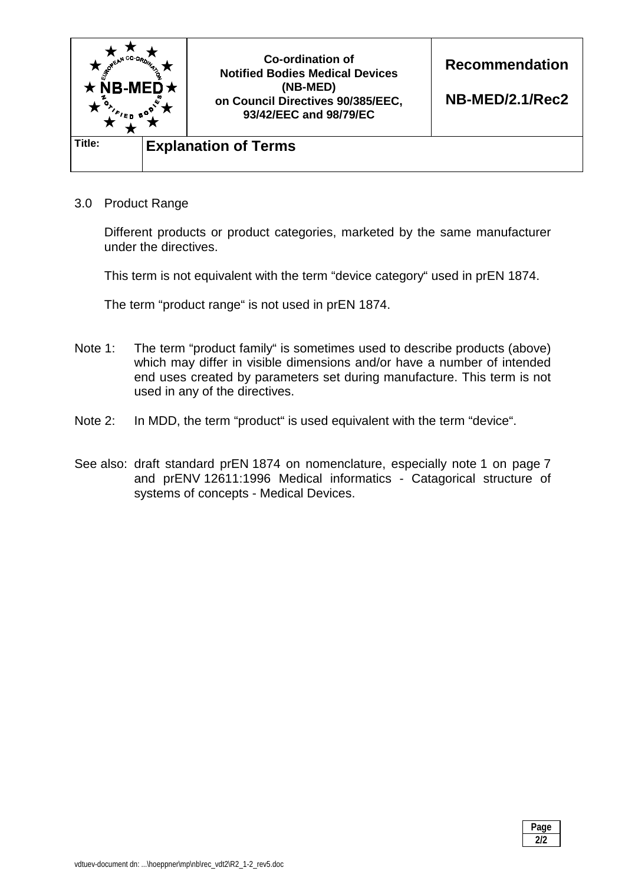

3.0 Product Range

 Different products or product categories, marketed by the same manufacturer under the directives.

This term is not equivalent with the term "device category" used in prEN 1874.

The term "product range" is not used in prEN 1874.

- Note 1: The term "product family" is sometimes used to describe products (above) which may differ in visible dimensions and/or have a number of intended end uses created by parameters set during manufacture. This term is not used in any of the directives.
- Note 2: In MDD, the term "product" is used equivalent with the term "device".
- See also: draft standard prEN 1874 on nomenclature, especially note 1 on page 7 and prENV 12611:1996 Medical informatics - Catagorical structure of systems of concepts - Medical Devices.

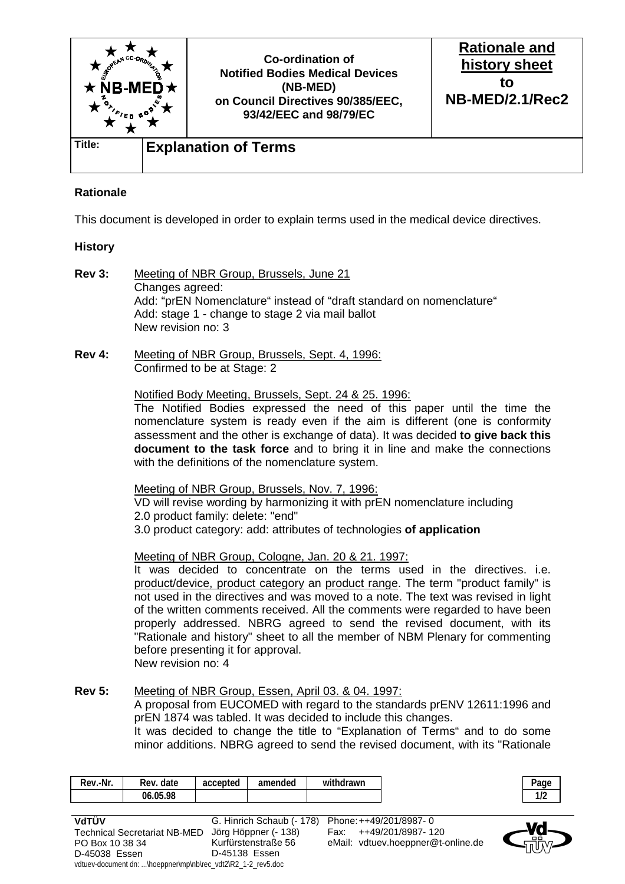

## **Rationale**

This document is developed in order to explain terms used in the medical device directives.

## **History**

- **Rev 3:** Meeting of NBR Group, Brussels, June 21 Changes agreed: Add: "prEN Nomenclature" instead of "draft standard on nomenclature" Add: stage 1 - change to stage 2 via mail ballot New revision no: 3
- **Rev 4:** Meeting of NBR Group, Brussels, Sept. 4, 1996: Confirmed to be at Stage: 2

## Notified Body Meeting, Brussels, Sept. 24 & 25. 1996:

 The Notified Bodies expressed the need of this paper until the time the nomenclature system is ready even if the aim is different (one is conformity assessment and the other is exchange of data). It was decided **to give back this document to the task force** and to bring it in line and make the connections with the definitions of the nomenclature system.

Meeting of NBR Group, Brussels, Nov. 7, 1996:

 VD will revise wording by harmonizing it with prEN nomenclature including 2.0 product family: delete: "end"

3.0 product category: add: attributes of technologies **of application**

Meeting of NBR Group, Cologne, Jan. 20 & 21. 1997:

 It was decided to concentrate on the terms used in the directives. i.e. product/device, product category an product range. The term "product family" is not used in the directives and was moved to a note. The text was revised in light of the written comments received. All the comments were regarded to have been properly addressed. NBRG agreed to send the revised document, with its "Rationale and history" sheet to all the member of NBM Plenary for commenting before presenting it for approval.

New revision no: 4

## **Rev 5:** Meeting of NBR Group, Essen, April 03. & 04. 1997:

 A proposal from EUCOMED with regard to the standards prENV 12611:1996 and prEN 1874 was tabled. It was decided to include this changes.

 It was decided to change the title to "Explanation of Terms" and to do some minor additions. NBRG agreed to send the revised document, with its "Rationale

| -Nr.<br>Rev. | date<br>Rev | accepted | amended | $\cdots$<br>hdrawn<br>with |
|--------------|-------------|----------|---------|----------------------------|
|              | 06.05.98    |          |         |                            |